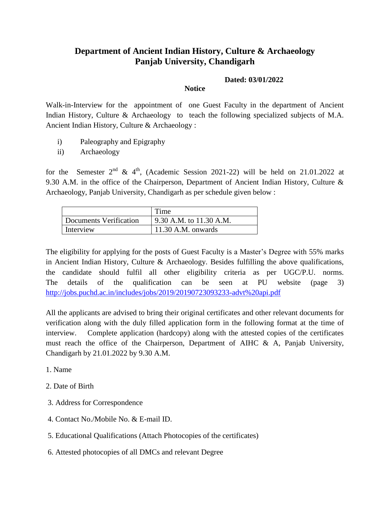## **Department of Ancient Indian History, Culture & Archaeology Panjab University, Chandigarh**

## **Dated: 03/01/2022**

## **Notice**

Walk-in-Interview for the appointment of one Guest Faculty in the department of Ancient Indian History, Culture & Archaeology to teach the following specialized subjects of M.A. Ancient Indian History, Culture & Archaeology :

- i) Paleography and Epigraphy
- ii) Archaeology

for the Semester  $2<sup>nd</sup>$  &  $4<sup>th</sup>$ , (Academic Session 2021-22) will be held on 21.01.2022 at 9.30 A.M. in the office of the Chairperson, Department of Ancient Indian History, Culture & Archaeology, Panjab University, Chandigarh as per schedule given below :

|                        | Time                    |
|------------------------|-------------------------|
| Documents Verification | 9.30 A.M. to 11.30 A.M. |
| Interview              | $11.30$ A.M. onwards    |

The eligibility for applying for the posts of Guest Faculty is a Master's Degree with 55% marks in Ancient Indian History, Culture & Archaeology. Besides fulfilling the above qualifications, the candidate should fulfil all other eligibility criteria as per UGC/P.U. norms. The details of the qualification can be seen at PU website (page 3) http://jobs.puchd.ac.in/includes/jobs/2019/20190723093233-advt%20api.pdf

All the applicants are advised to bring their original certificates and other relevant documents for verification along with the duly filled application form in the following format at the time of interview. Complete application (hardcopy) along with the attested copies of the certificates must reach the office of the Chairperson, Department of AIHC & A, Panjab University, Chandigarh by 21.01.2022 by 9.30 A.M.

- 1. Name
- 2. Date of Birth
- 3. Address for Correspondence
- 4. Contact No./Mobile No. & E-mail ID.
- 5. Educational Qualifications (Attach Photocopies of the certificates)
- 6. Attested photocopies of all DMCs and relevant Degree